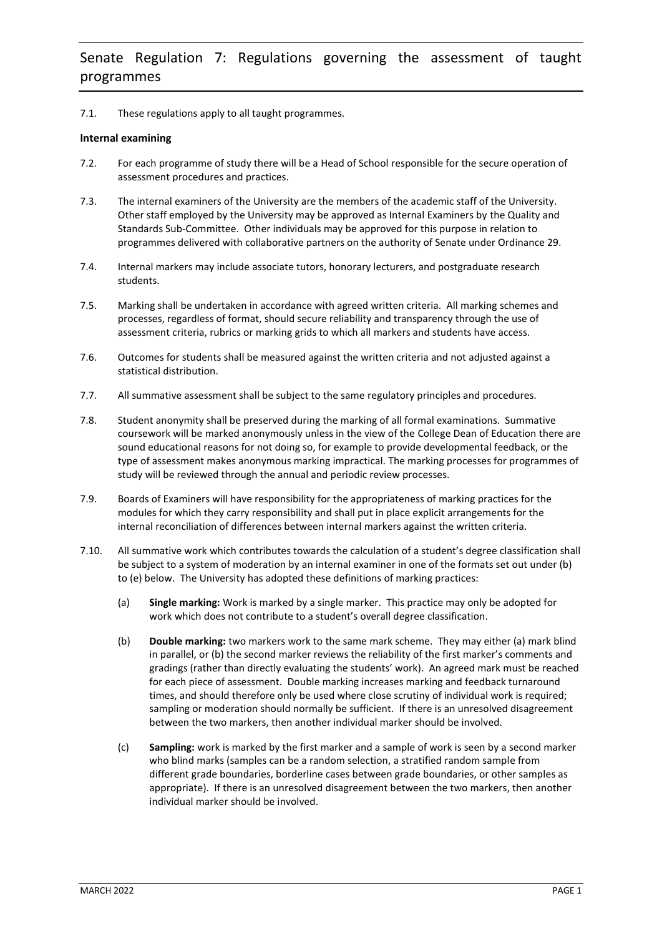# 7.1. These regulations apply to all taught programmes.

# **Internal examining**

- 7.2. For each programme of study there will be a Head of School responsible for the secure operation of assessment procedures and practices.
- 7.3. The internal examiners of the University are the members of the academic staff of the University. Other staff employed by the University may be approved as Internal Examiners by the Quality and Standards Sub-Committee. Other individuals may be approved for this purpose in relation to programmes delivered with collaborative partners on the authority of Senate under Ordinance 29.
- 7.4. Internal markers may include associate tutors, honorary lecturers, and postgraduate research students.
- 7.5. Marking shall be undertaken in accordance with agreed written criteria. All marking schemes and processes, regardless of format, should secure reliability and transparency through the use of assessment criteria, rubrics or marking grids to which all markers and students have access.
- 7.6. Outcomes for students shall be measured against the written criteria and not adjusted against a statistical distribution.
- 7.7. All summative assessment shall be subject to the same regulatory principles and procedures.
- 7.8. Student anonymity shall be preserved during the marking of all formal examinations. Summative coursework will be marked anonymously unless in the view of the College Dean of Education there are sound educational reasons for not doing so, for example to provide developmental feedback, or the type of assessment makes anonymous marking impractical. The marking processes for programmes of study will be reviewed through the annual and periodic review processes.
- 7.9. Boards of Examiners will have responsibility for the appropriateness of marking practices for the modules for which they carry responsibility and shall put in place explicit arrangements for the internal reconciliation of differences between internal markers against the written criteria.
- 7.10. All summative work which contributes towards the calculation of a student's degree classification shall be subject to a system of moderation by an internal examiner in one of the formats set out under (b) to (e) below. The University has adopted these definitions of marking practices:
	- (a) **Single marking:** Work is marked by a single marker. This practice may only be adopted for work which does not contribute to a student's overall degree classification.
	- (b) **Double marking:** two markers work to the same mark scheme. They may either (a) mark blind in parallel, or (b) the second marker reviews the reliability of the first marker's comments and gradings (rather than directly evaluating the students' work). An agreed mark must be reached for each piece of assessment. Double marking increases marking and feedback turnaround times, and should therefore only be used where close scrutiny of individual work is required; sampling or moderation should normally be sufficient. If there is an unresolved disagreement between the two markers, then another individual marker should be involved.
	- (c) **Sampling:** work is marked by the first marker and a sample of work is seen by a second marker who blind marks (samples can be a random selection, a stratified random sample from different grade boundaries, borderline cases between grade boundaries, or other samples as appropriate). If there is an unresolved disagreement between the two markers, then another individual marker should be involved.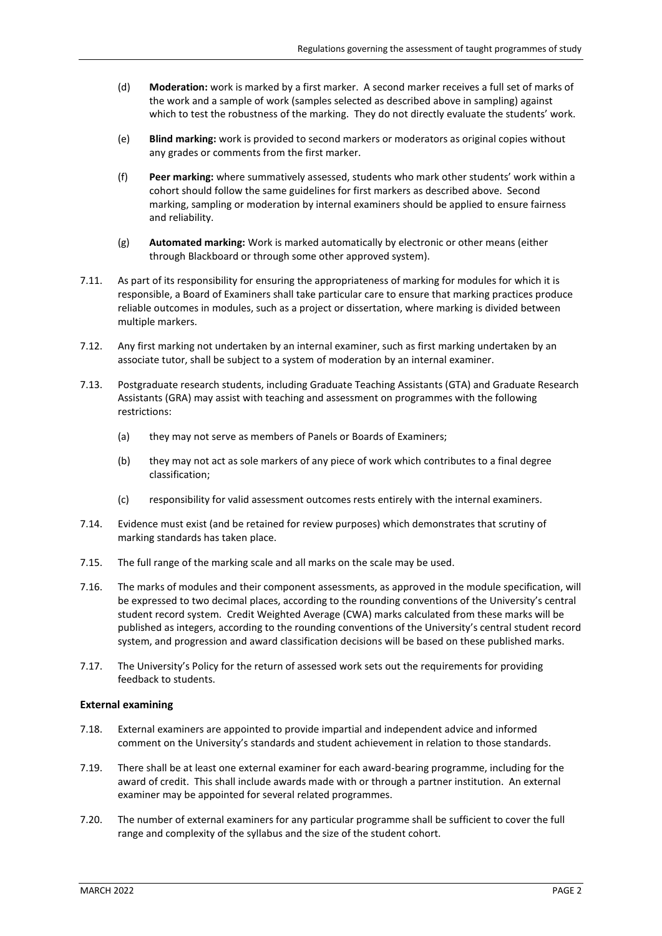- (d) **Moderation:** work is marked by a first marker. A second marker receives a full set of marks of the work and a sample of work (samples selected as described above in sampling) against which to test the robustness of the marking. They do not directly evaluate the students' work.
- (e) **Blind marking:** work is provided to second markers or moderators as original copies without any grades or comments from the first marker.
- (f) **Peer marking:** where summatively assessed, students who mark other students' work within a cohort should follow the same guidelines for first markers as described above. Second marking, sampling or moderation by internal examiners should be applied to ensure fairness and reliability.
- (g) **Automated marking:** Work is marked automatically by electronic or other means (either through Blackboard or through some other approved system).
- 7.11. As part of its responsibility for ensuring the appropriateness of marking for modules for which it is responsible, a Board of Examiners shall take particular care to ensure that marking practices produce reliable outcomes in modules, such as a project or dissertation, where marking is divided between multiple markers.
- 7.12. Any first marking not undertaken by an internal examiner, such as first marking undertaken by an associate tutor, shall be subject to a system of moderation by an internal examiner.
- 7.13. Postgraduate research students, including Graduate Teaching Assistants (GTA) and Graduate Research Assistants (GRA) may assist with teaching and assessment on programmes with the following restrictions:
	- (a) they may not serve as members of Panels or Boards of Examiners;
	- (b) they may not act as sole markers of any piece of work which contributes to a final degree classification;
	- (c) responsibility for valid assessment outcomes rests entirely with the internal examiners.
- 7.14. Evidence must exist (and be retained for review purposes) which demonstrates that scrutiny of marking standards has taken place.
- 7.15. The full range of the marking scale and all marks on the scale may be used.
- 7.16. The marks of modules and their component assessments, as approved in the module specification, will be expressed to two decimal places, according to the rounding conventions of the University's central student record system. Credit Weighted Average (CWA) marks calculated from these marks will be published as integers, according to the rounding conventions of the University's central student record system, and progression and award classification decisions will be based on these published marks.
- 7.17. The University's Policy for the return of assessed work sets out the requirements for providing feedback to students.

## **External examining**

- 7.18. External examiners are appointed to provide impartial and independent advice and informed comment on the University's standards and student achievement in relation to those standards.
- 7.19. There shall be at least one external examiner for each award-bearing programme, including for the award of credit. This shall include awards made with or through a partner institution. An external examiner may be appointed for several related programmes.
- 7.20. The number of external examiners for any particular programme shall be sufficient to cover the full range and complexity of the syllabus and the size of the student cohort.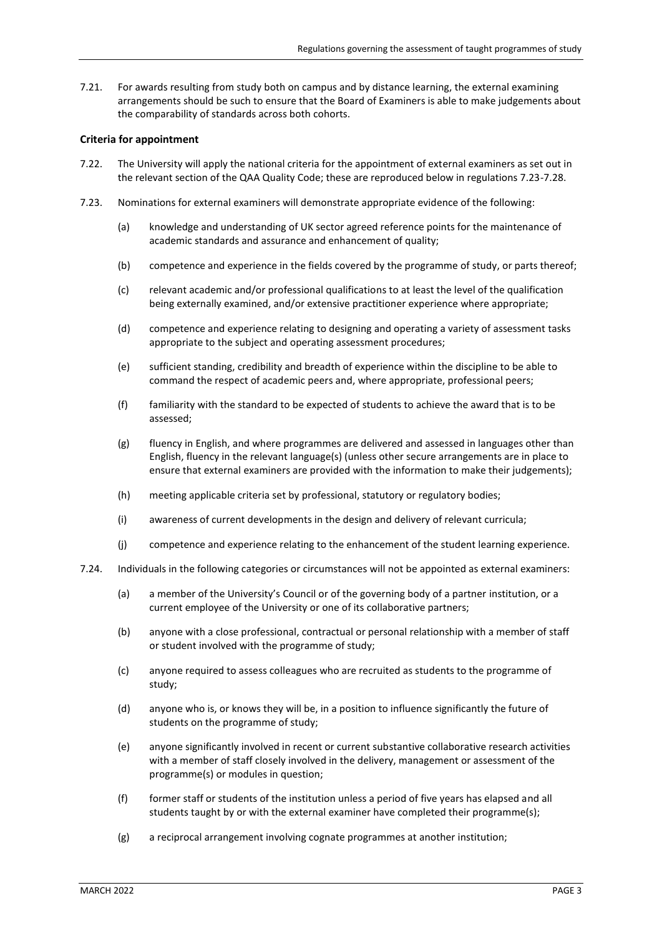7.21. For awards resulting from study both on campus and by distance learning, the external examining arrangements should be such to ensure that the Board of Examiners is able to make judgements about the comparability of standards across both cohorts.

## **Criteria for appointment**

- 7.22. The University will apply the national criteria for the appointment of external examiners as set out in the relevant section of the QAA Quality Code; these are reproduced below in regulations 7.23-7.28.
- 7.23. Nominations for external examiners will demonstrate appropriate evidence of the following:
	- (a) knowledge and understanding of UK sector agreed reference points for the maintenance of academic standards and assurance and enhancement of quality;
	- (b) competence and experience in the fields covered by the programme of study, or parts thereof;
	- (c) relevant academic and/or professional qualifications to at least the level of the qualification being externally examined, and/or extensive practitioner experience where appropriate;
	- (d) competence and experience relating to designing and operating a variety of assessment tasks appropriate to the subject and operating assessment procedures;
	- (e) sufficient standing, credibility and breadth of experience within the discipline to be able to command the respect of academic peers and, where appropriate, professional peers;
	- (f) familiarity with the standard to be expected of students to achieve the award that is to be assessed;
	- (g) fluency in English, and where programmes are delivered and assessed in languages other than English, fluency in the relevant language(s) (unless other secure arrangements are in place to ensure that external examiners are provided with the information to make their judgements);
	- (h) meeting applicable criteria set by professional, statutory or regulatory bodies;
	- (i) awareness of current developments in the design and delivery of relevant curricula;
	- (j) competence and experience relating to the enhancement of the student learning experience.
- 7.24. Individuals in the following categories or circumstances will not be appointed as external examiners:
	- (a) a member of the University's Council or of the governing body of a partner institution, or a current employee of the University or one of its collaborative partners;
	- (b) anyone with a close professional, contractual or personal relationship with a member of staff or student involved with the programme of study;
	- (c) anyone required to assess colleagues who are recruited as students to the programme of study;
	- (d) anyone who is, or knows they will be, in a position to influence significantly the future of students on the programme of study;
	- (e) anyone significantly involved in recent or current substantive collaborative research activities with a member of staff closely involved in the delivery, management or assessment of the programme(s) or modules in question;
	- (f) former staff or students of the institution unless a period of five years has elapsed and all students taught by or with the external examiner have completed their programme(s);
	- (g) a reciprocal arrangement involving cognate programmes at another institution;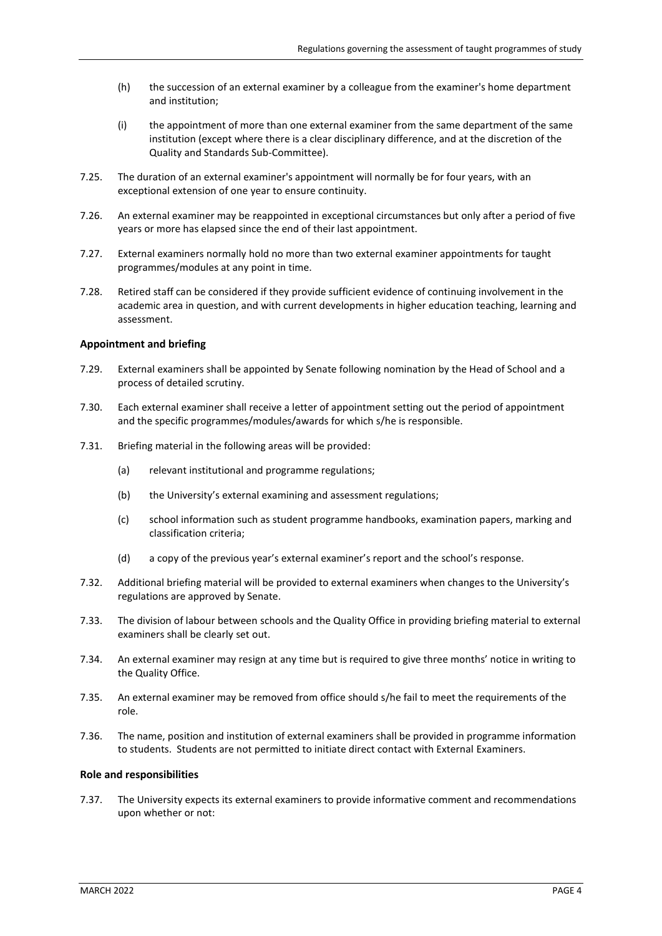- (h) the succession of an external examiner by a colleague from the examiner's home department and institution;
- (i) the appointment of more than one external examiner from the same department of the same institution (except where there is a clear disciplinary difference, and at the discretion of the Quality and Standards Sub-Committee).
- 7.25. The duration of an external examiner's appointment will normally be for four years, with an exceptional extension of one year to ensure continuity.
- 7.26. An external examiner may be reappointed in exceptional circumstances but only after a period of five years or more has elapsed since the end of their last appointment.
- 7.27. External examiners normally hold no more than two external examiner appointments for taught programmes/modules at any point in time.
- 7.28. Retired staff can be considered if they provide sufficient evidence of continuing involvement in the academic area in question, and with current developments in higher education teaching, learning and assessment.

#### **Appointment and briefing**

- 7.29. External examiners shall be appointed by Senate following nomination by the Head of School and a process of detailed scrutiny.
- 7.30. Each external examiner shall receive a letter of appointment setting out the period of appointment and the specific programmes/modules/awards for which s/he is responsible.
- 7.31. Briefing material in the following areas will be provided:
	- (a) relevant institutional and programme regulations;
	- (b) the University's external examining and assessment regulations;
	- (c) school information such as student programme handbooks, examination papers, marking and classification criteria;
	- (d) a copy of the previous year's external examiner's report and the school's response.
- 7.32. Additional briefing material will be provided to external examiners when changes to the University's regulations are approved by Senate.
- 7.33. The division of labour between schools and the Quality Office in providing briefing material to external examiners shall be clearly set out.
- 7.34. An external examiner may resign at any time but is required to give three months' notice in writing to the Quality Office.
- 7.35. An external examiner may be removed from office should s/he fail to meet the requirements of the role.
- 7.36. The name, position and institution of external examiners shall be provided in programme information to students. Students are not permitted to initiate direct contact with External Examiners.

#### **Role and responsibilities**

<span id="page-3-0"></span>7.37. The University expects its external examiners to provide informative comment and recommendations upon whether or not: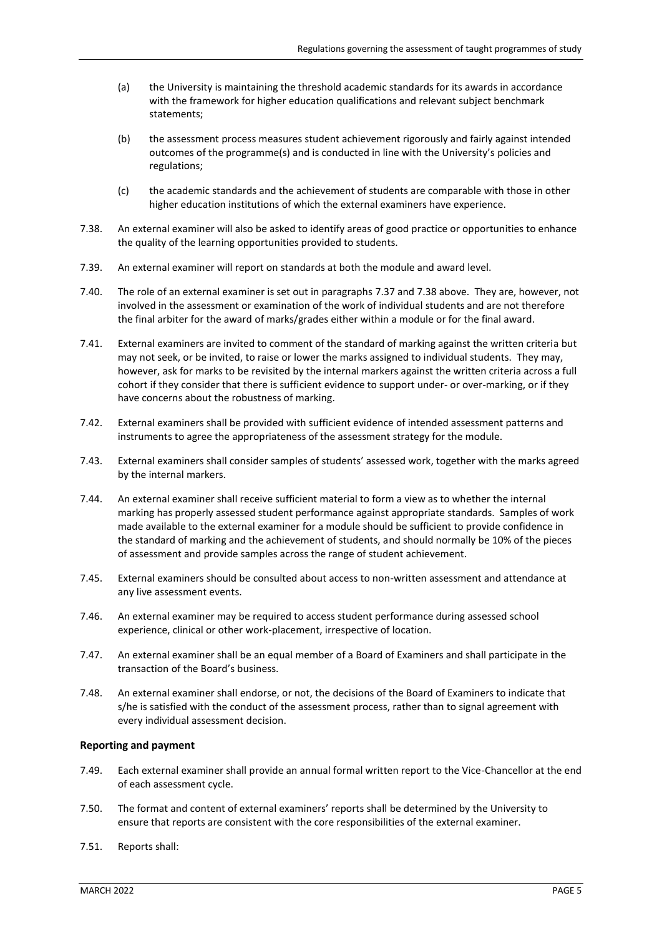- (a) the University is maintaining the threshold academic standards for its awards in accordance with the framework for higher education qualifications and relevant subject benchmark statements;
- (b) the assessment process measures student achievement rigorously and fairly against intended outcomes of the programme(s) and is conducted in line with the University's policies and regulations;
- (c) the academic standards and the achievement of students are comparable with those in other higher education institutions of which the external examiners have experience.
- <span id="page-4-0"></span>7.38. An external examiner will also be asked to identify areas of good practice or opportunities to enhance the quality of the learning opportunities provided to students.
- 7.39. An external examiner will report on standards at both the module and award level.
- 7.40. The role of an external examiner is set out in paragraph[s 7.37](#page-3-0) and [7.38 above.](#page-4-0) They are, however, not involved in the assessment or examination of the work of individual students and are not therefore the final arbiter for the award of marks/grades either within a module or for the final award.
- 7.41. External examiners are invited to comment of the standard of marking against the written criteria but may not seek, or be invited, to raise or lower the marks assigned to individual students. They may, however, ask for marks to be revisited by the internal markers against the written criteria across a full cohort if they consider that there is sufficient evidence to support under- or over-marking, or if they have concerns about the robustness of marking.
- 7.42. External examiners shall be provided with sufficient evidence of intended assessment patterns and instruments to agree the appropriateness of the assessment strategy for the module.
- 7.43. External examiners shall consider samples of students' assessed work, together with the marks agreed by the internal markers.
- 7.44. An external examiner shall receive sufficient material to form a view as to whether the internal marking has properly assessed student performance against appropriate standards. Samples of work made available to the external examiner for a module should be sufficient to provide confidence in the standard of marking and the achievement of students, and should normally be 10% of the pieces of assessment and provide samples across the range of student achievement.
- 7.45. External examiners should be consulted about access to non-written assessment and attendance at any live assessment events.
- 7.46. An external examiner may be required to access student performance during assessed school experience, clinical or other work-placement, irrespective of location.
- 7.47. An external examiner shall be an equal member of a Board of Examiners and shall participate in the transaction of the Board's business.
- 7.48. An external examiner shall endorse, or not, the decisions of the Board of Examiners to indicate that s/he is satisfied with the conduct of the assessment process, rather than to signal agreement with every individual assessment decision.

## **Reporting and payment**

- 7.49. Each external examiner shall provide an annual formal written report to the Vice-Chancellor at the end of each assessment cycle.
- 7.50. The format and content of external examiners' reports shall be determined by the University to ensure that reports are consistent with the core responsibilities of the external examiner.
- 7.51. Reports shall: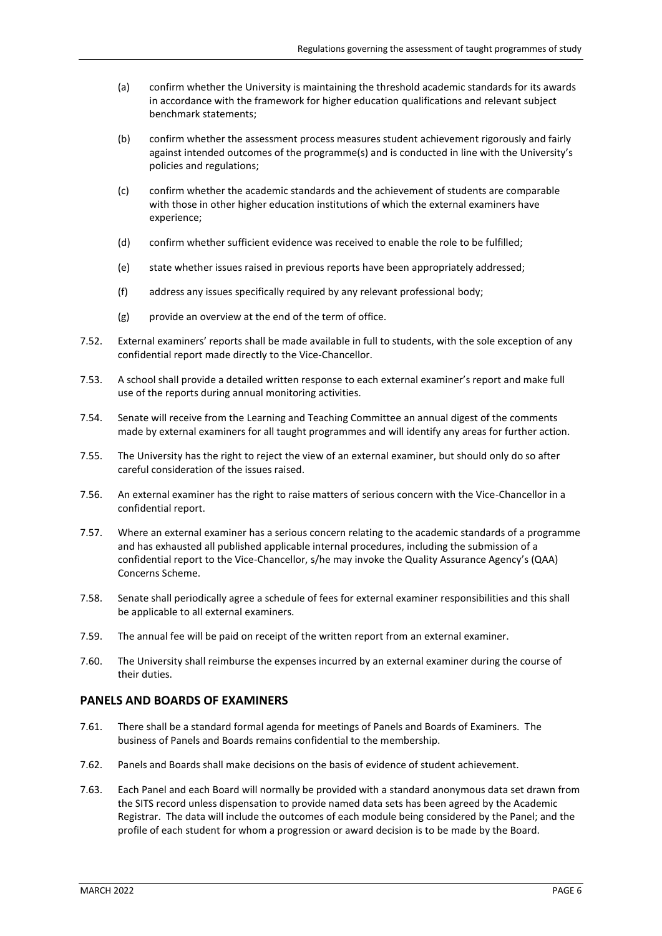- (a) confirm whether the University is maintaining the threshold academic standards for its awards in accordance with the framework for higher education qualifications and relevant subject benchmark statements;
- (b) confirm whether the assessment process measures student achievement rigorously and fairly against intended outcomes of the programme(s) and is conducted in line with the University's policies and regulations;
- (c) confirm whether the academic standards and the achievement of students are comparable with those in other higher education institutions of which the external examiners have experience;
- (d) confirm whether sufficient evidence was received to enable the role to be fulfilled;
- (e) state whether issues raised in previous reports have been appropriately addressed;
- (f) address any issues specifically required by any relevant professional body;
- $(g)$  provide an overview at the end of the term of office.
- 7.52. External examiners' reports shall be made available in full to students, with the sole exception of any confidential report made directly to the Vice-Chancellor.
- 7.53. A school shall provide a detailed written response to each external examiner's report and make full use of the reports during annual monitoring activities.
- 7.54. Senate will receive from the Learning and Teaching Committee an annual digest of the comments made by external examiners for all taught programmes and will identify any areas for further action.
- 7.55. The University has the right to reject the view of an external examiner, but should only do so after careful consideration of the issues raised.
- 7.56. An external examiner has the right to raise matters of serious concern with the Vice-Chancellor in a confidential report.
- 7.57. Where an external examiner has a serious concern relating to the academic standards of a programme and has exhausted all published applicable internal procedures, including the submission of a confidential report to the Vice-Chancellor, s/he may invoke the Quality Assurance Agency's (QAA) Concerns Scheme.
- 7.58. Senate shall periodically agree a schedule of fees for external examiner responsibilities and this shall be applicable to all external examiners.
- 7.59. The annual fee will be paid on receipt of the written report from an external examiner.
- 7.60. The University shall reimburse the expenses incurred by an external examiner during the course of their duties.

# **PANELS AND BOARDS OF EXAMINERS**

- 7.61. There shall be a standard formal agenda for meetings of Panels and Boards of Examiners. The business of Panels and Boards remains confidential to the membership.
- 7.62. Panels and Boards shall make decisions on the basis of evidence of student achievement.
- 7.63. Each Panel and each Board will normally be provided with a standard anonymous data set drawn from the SITS record unless dispensation to provide named data sets has been agreed by the Academic Registrar. The data will include the outcomes of each module being considered by the Panel; and the profile of each student for whom a progression or award decision is to be made by the Board.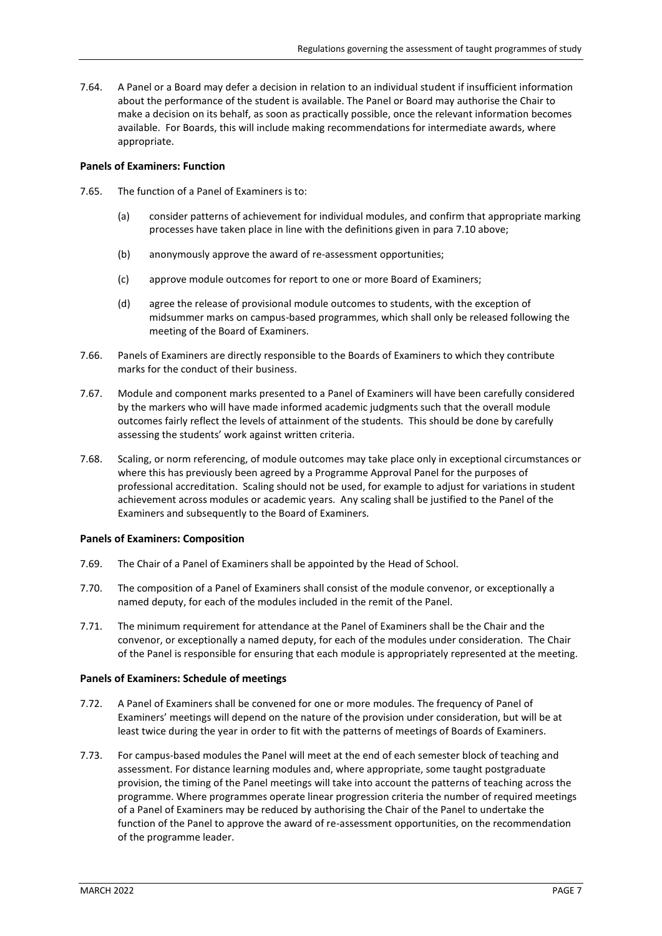7.64. A Panel or a Board may defer a decision in relation to an individual student if insufficient information about the performance of the student is available. The Panel or Board may authorise the Chair to make a decision on its behalf, as soon as practically possible, once the relevant information becomes available. For Boards, this will include making recommendations for intermediate awards, where appropriate.

#### **Panels of Examiners: Function**

- 7.65. The function of a Panel of Examiners is to:
	- (a) consider patterns of achievement for individual modules, and confirm that appropriate marking processes have taken place in line with the definitions given in para 7.10 above;
	- (b) anonymously approve the award of re-assessment opportunities;
	- (c) approve module outcomes for report to one or more Board of Examiners;
	- (d) agree the release of provisional module outcomes to students, with the exception of midsummer marks on campus-based programmes, which shall only be released following the meeting of the Board of Examiners.
- 7.66. Panels of Examiners are directly responsible to the Boards of Examiners to which they contribute marks for the conduct of their business.
- 7.67. Module and component marks presented to a Panel of Examiners will have been carefully considered by the markers who will have made informed academic judgments such that the overall module outcomes fairly reflect the levels of attainment of the students. This should be done by carefully assessing the students' work against written criteria.
- 7.68. Scaling, or norm referencing, of module outcomes may take place only in exceptional circumstances or where this has previously been agreed by a Programme Approval Panel for the purposes of professional accreditation. Scaling should not be used, for example to adjust for variations in student achievement across modules or academic years. Any scaling shall be justified to the Panel of the Examiners and subsequently to the Board of Examiners.

## **Panels of Examiners: Composition**

- 7.69. The Chair of a Panel of Examiners shall be appointed by the Head of School.
- 7.70. The composition of a Panel of Examiners shall consist of the module convenor, or exceptionally a named deputy, for each of the modules included in the remit of the Panel.
- 7.71. The minimum requirement for attendance at the Panel of Examiners shall be the Chair and the convenor, or exceptionally a named deputy, for each of the modules under consideration. The Chair of the Panel is responsible for ensuring that each module is appropriately represented at the meeting.

## **Panels of Examiners: Schedule of meetings**

- 7.72. A Panel of Examiners shall be convened for one or more modules. The frequency of Panel of Examiners' meetings will depend on the nature of the provision under consideration, but will be at least twice during the year in order to fit with the patterns of meetings of Boards of Examiners.
- 7.73. For campus-based modules the Panel will meet at the end of each semester block of teaching and assessment. For distance learning modules and, where appropriate, some taught postgraduate provision, the timing of the Panel meetings will take into account the patterns of teaching across the programme. Where programmes operate linear progression criteria the number of required meetings of a Panel of Examiners may be reduced by authorising the Chair of the Panel to undertake the function of the Panel to approve the award of re-assessment opportunities, on the recommendation of the programme leader.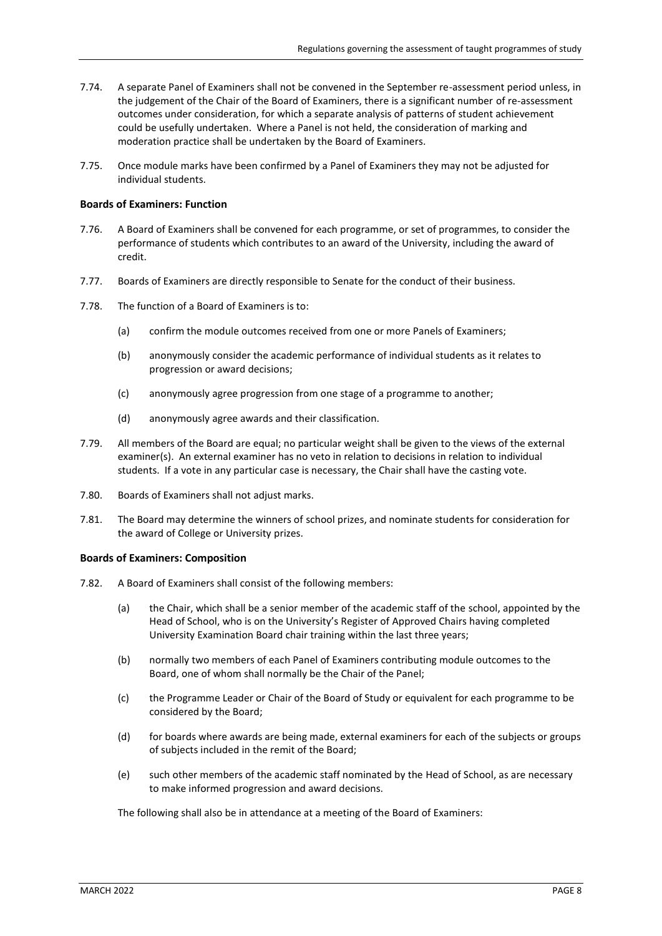- 7.74. A separate Panel of Examiners shall not be convened in the September re-assessment period unless, in the judgement of the Chair of the Board of Examiners, there is a significant number of re-assessment outcomes under consideration, for which a separate analysis of patterns of student achievement could be usefully undertaken. Where a Panel is not held, the consideration of marking and moderation practice shall be undertaken by the Board of Examiners.
- 7.75. Once module marks have been confirmed by a Panel of Examiners they may not be adjusted for individual students.

#### **Boards of Examiners: Function**

- 7.76. A Board of Examiners shall be convened for each programme, or set of programmes, to consider the performance of students which contributes to an award of the University, including the award of credit.
- 7.77. Boards of Examiners are directly responsible to Senate for the conduct of their business.
- 7.78. The function of a Board of Examiners is to:
	- (a) confirm the module outcomes received from one or more Panels of Examiners;
	- (b) anonymously consider the academic performance of individual students as it relates to progression or award decisions;
	- (c) anonymously agree progression from one stage of a programme to another;
	- (d) anonymously agree awards and their classification.
- 7.79. All members of the Board are equal; no particular weight shall be given to the views of the external examiner(s). An external examiner has no veto in relation to decisions in relation to individual students. If a vote in any particular case is necessary, the Chair shall have the casting vote.
- 7.80. Boards of Examiners shall not adjust marks.
- 7.81. The Board may determine the winners of school prizes, and nominate students for consideration for the award of College or University prizes.

#### **Boards of Examiners: Composition**

- 7.82. A Board of Examiners shall consist of the following members:
	- (a) the Chair, which shall be a senior member of the academic staff of the school, appointed by the Head of School, who is on the University's Register of Approved Chairs having completed University Examination Board chair training within the last three years;
	- (b) normally two members of each Panel of Examiners contributing module outcomes to the Board, one of whom shall normally be the Chair of the Panel;
	- (c) the Programme Leader or Chair of the Board of Study or equivalent for each programme to be considered by the Board;
	- (d) for boards where awards are being made, external examiners for each of the subjects or groups of subjects included in the remit of the Board;
	- (e) such other members of the academic staff nominated by the Head of School, as are necessary to make informed progression and award decisions.

The following shall also be in attendance at a meeting of the Board of Examiners: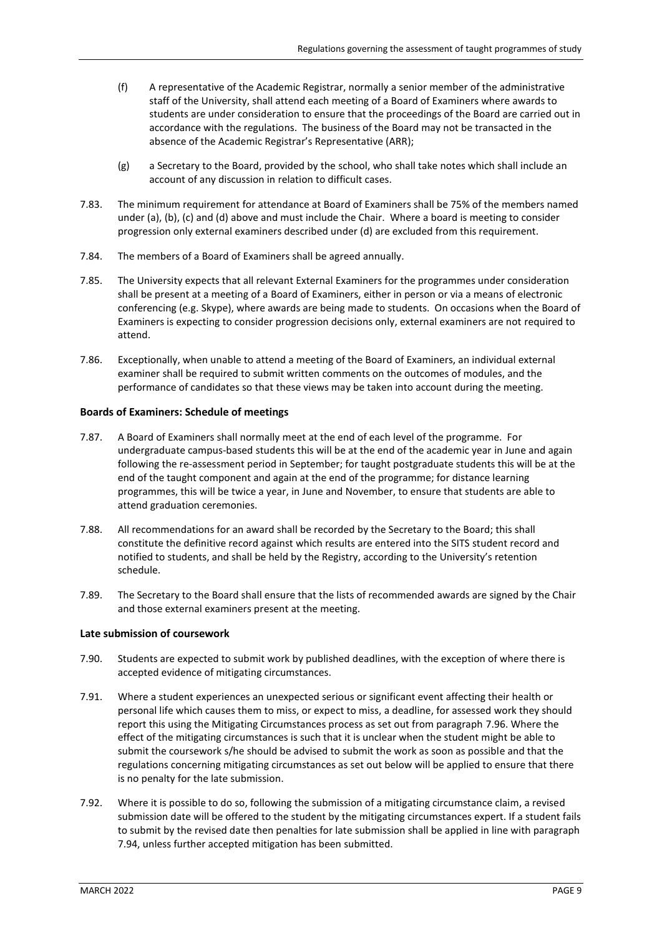- (f) A representative of the Academic Registrar, normally a senior member of the administrative staff of the University, shall attend each meeting of a Board of Examiners where awards to students are under consideration to ensure that the proceedings of the Board are carried out in accordance with the regulations. The business of the Board may not be transacted in the absence of the Academic Registrar's Representative (ARR);
- (g) a Secretary to the Board, provided by the school, who shall take notes which shall include an account of any discussion in relation to difficult cases.
- 7.83. The minimum requirement for attendance at Board of Examiners shall be 75% of the members named under (a), (b), (c) and (d) above and must include the Chair. Where a board is meeting to consider progression only external examiners described under (d) are excluded from this requirement.
- 7.84. The members of a Board of Examiners shall be agreed annually.
- 7.85. The University expects that all relevant External Examiners for the programmes under consideration shall be present at a meeting of a Board of Examiners, either in person or via a means of electronic conferencing (e.g. Skype), where awards are being made to students. On occasions when the Board of Examiners is expecting to consider progression decisions only, external examiners are not required to attend.
- 7.86. Exceptionally, when unable to attend a meeting of the Board of Examiners, an individual external examiner shall be required to submit written comments on the outcomes of modules, and the performance of candidates so that these views may be taken into account during the meeting.

## **Boards of Examiners: Schedule of meetings**

- 7.87. A Board of Examiners shall normally meet at the end of each level of the programme. For undergraduate campus-based students this will be at the end of the academic year in June and again following the re-assessment period in September; for taught postgraduate students this will be at the end of the taught component and again at the end of the programme; for distance learning programmes, this will be twice a year, in June and November, to ensure that students are able to attend graduation ceremonies.
- 7.88. All recommendations for an award shall be recorded by the Secretary to the Board; this shall constitute the definitive record against which results are entered into the SITS student record and notified to students, and shall be held by the Registry, according to the University's retention schedule.
- 7.89. The Secretary to the Board shall ensure that the lists of recommended awards are signed by the Chair and those external examiners present at the meeting.

## **Late submission of coursework**

- 7.90. Students are expected to submit work by published deadlines, with the exception of where there is accepted evidence of mitigating circumstances.
- 7.91. Where a student experiences an unexpected serious or significant event affecting their health or personal life which causes them to miss, or expect to miss, a deadline, for assessed work they should report this using the Mitigating Circumstances process as set out from paragraph [7.96.](#page-9-0) Where the effect of the mitigating circumstances is such that it is unclear when the student might be able to submit the coursework s/he should be advised to submit the work as soon as possible and that the regulations concerning mitigating circumstances as set out below will be applied to ensure that there is no penalty for the late submission.
- 7.92. Where it is possible to do so, following the submission of a mitigating circumstance claim, a revised submission date will be offered to the student by the mitigating circumstances expert. If a student fails to submit by the revised date then penalties for late submission shall be applied in line with paragraph [7.94,](#page-9-1) unless further accepted mitigation has been submitted.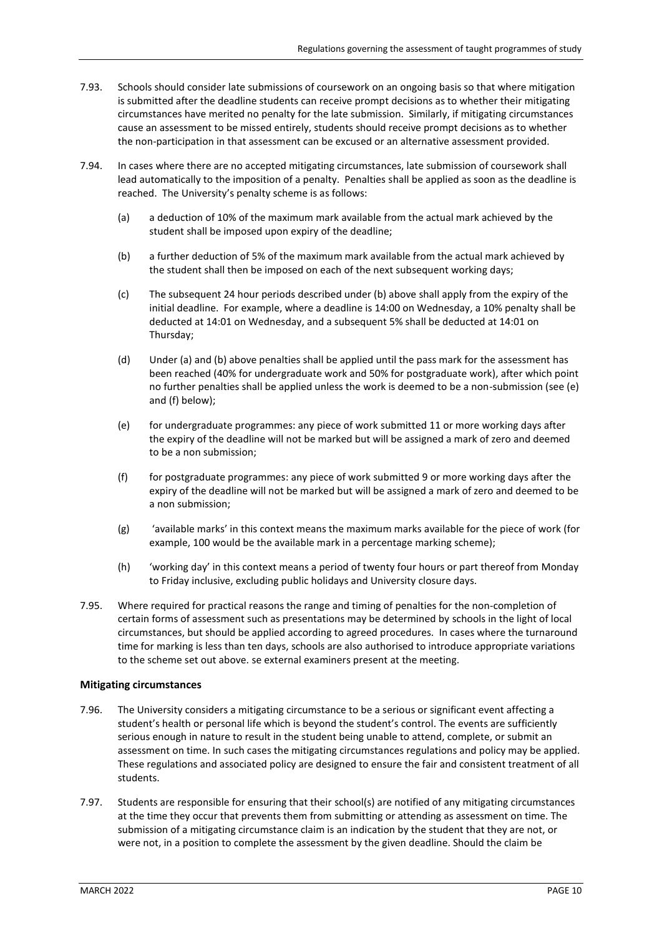- 7.93. Schools should consider late submissions of coursework on an ongoing basis so that where mitigation is submitted after the deadline students can receive prompt decisions as to whether their mitigating circumstances have merited no penalty for the late submission. Similarly, if mitigating circumstances cause an assessment to be missed entirely, students should receive prompt decisions as to whether the non-participation in that assessment can be excused or an alternative assessment provided.
- <span id="page-9-1"></span>7.94. In cases where there are no accepted mitigating circumstances, late submission of coursework shall lead automatically to the imposition of a penalty. Penalties shall be applied as soon as the deadline is reached. The University's penalty scheme is as follows:
	- (a) a deduction of 10% of the maximum mark available from the actual mark achieved by the student shall be imposed upon expiry of the deadline;
	- (b) a further deduction of 5% of the maximum mark available from the actual mark achieved by the student shall then be imposed on each of the next subsequent working days;
	- (c) The subsequent 24 hour periods described under (b) above shall apply from the expiry of the initial deadline. For example, where a deadline is 14:00 on Wednesday, a 10% penalty shall be deducted at 14:01 on Wednesday, and a subsequent 5% shall be deducted at 14:01 on Thursday;
	- (d) Under (a) and (b) above penalties shall be applied until the pass mark for the assessment has been reached (40% for undergraduate work and 50% for postgraduate work), after which point no further penalties shall be applied unless the work is deemed to be a non-submission (see (e) and (f) below);
	- (e) for undergraduate programmes: any piece of work submitted 11 or more working days after the expiry of the deadline will not be marked but will be assigned a mark of zero and deemed to be a non submission;
	- (f) for postgraduate programmes: any piece of work submitted 9 or more working days after the expiry of the deadline will not be marked but will be assigned a mark of zero and deemed to be a non submission;
	- (g) 'available marks' in this context means the maximum marks available for the piece of work (for example, 100 would be the available mark in a percentage marking scheme);
	- (h) 'working day' in this context means a period of twenty four hours or part thereof from Monday to Friday inclusive, excluding public holidays and University closure days.
- 7.95. Where required for practical reasons the range and timing of penalties for the non-completion of certain forms of assessment such as presentations may be determined by schools in the light of local circumstances, but should be applied according to agreed procedures. In cases where the turnaround time for marking is less than ten days, schools are also authorised to introduce appropriate variations to the scheme set out above. se external examiners present at the meeting.

## **Mitigating circumstances**

- <span id="page-9-0"></span>7.96. The University considers a mitigating circumstance to be a serious or significant event affecting a student's health or personal life which is beyond the student's control. The events are sufficiently serious enough in nature to result in the student being unable to attend, complete, or submit an assessment on time. In such cases the mitigating circumstances regulations and policy may be applied. These regulations and associated policy are designed to ensure the fair and consistent treatment of all students.
- 7.97. Students are responsible for ensuring that their school(s) are notified of any mitigating circumstances at the time they occur that prevents them from submitting or attending as assessment on time. The submission of a mitigating circumstance claim is an indication by the student that they are not, or were not, in a position to complete the assessment by the given deadline. Should the claim be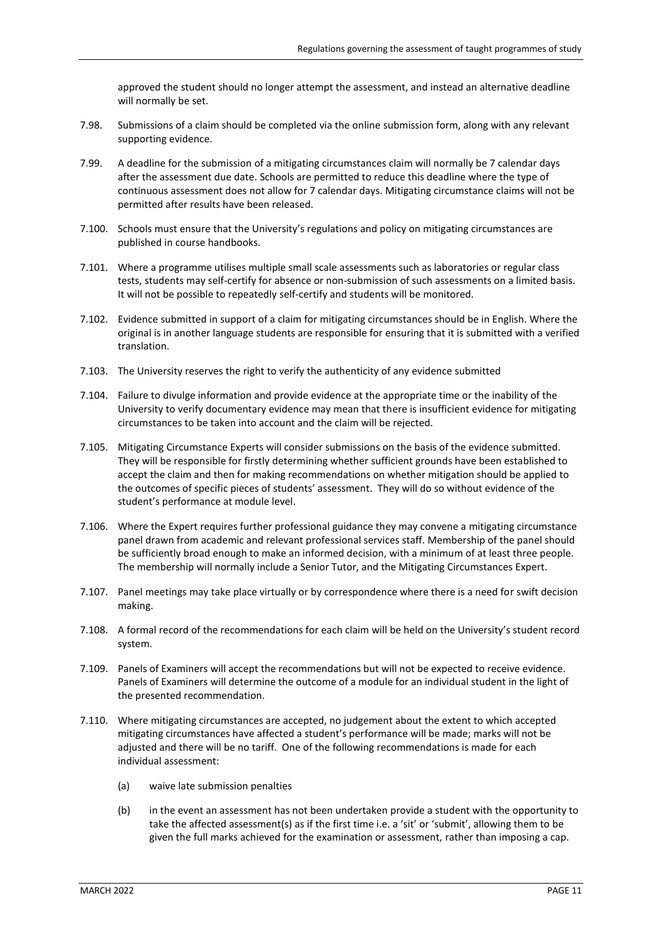approved the student should no longer attempt the assessment, and instead an alternative deadline will normally be set.

- 7.98. Submissions of a claim should be completed via the online submission form, along with any relevant supporting evidence.
- 7.99. A deadline for the submission of a mitigating circumstances claim will normally be 7 calendar days after the assessment due date. Schools are permitted to reduce this deadline where the type of continuous assessment does not allow for 7 calendar days. Mitigating circumstance claims will not be permitted after results have been released.
- 7.100. Schools must ensure that the University's regulations and policy on mitigating circumstances are published in course handbooks.
- 7.101. Where a programme utilises multiple small scale assessments such as laboratories or regular class tests, students may self-certify for absence or non-submission of such assessments on a limited basis. It will not be possible to repeatedly self-certify and students will be monitored.
- 7.102. Evidence submitted in support of a claim for mitigating circumstances should be in English. Where the original is in another language students are responsible for ensuring that it is submitted with a verified translation.
- 7.103. The University reserves the right to verify the authenticity of any evidence submitted
- 7.104. Failure to divulge information and provide evidence at the appropriate time or the inability of the University to verify documentary evidence may mean that there is insufficient evidence for mitigating circumstances to be taken into account and the claim will be rejected.
- 7.105. Mitigating Circumstance Experts will consider submissions on the basis of the evidence submitted. They will be responsible for firstly determining whether sufficient grounds have been established to accept the claim and then for making recommendations on whether mitigation should be applied to the outcomes of specific pieces of students' assessment. They will do so without evidence of the student's performance at module level.
- 7.106. Where the Expert requires further professional guidance they may convene a mitigating circumstance panel drawn from academic and relevant professional services staff. Membership of the panel should be sufficiently broad enough to make an informed decision, with a minimum of at least three people. The membership will normally include a Senior Tutor, and the Mitigating Circumstances Expert.
- 7.107. Panel meetings may take place virtually or by correspondence where there is a need for swift decision making.
- 7.108. A formal record of the recommendations for each claim will be held on the University's student record system.
- 7.109. Panels of Examiners will accept the recommendations but will not be expected to receive evidence. Panels of Examiners will determine the outcome of a module for an individual student in the light of the presented recommendation.
- 7.110. Where mitigating circumstances are accepted, no judgement about the extent to which accepted mitigating circumstances have affected a student's performance will be made; marks will not be adjusted and there will be no tariff. One of the following recommendations is made for each individual assessment:
	- (a) waive late submission penalties
	- (b) in the event an assessment has not been undertaken provide a student with the opportunity to take the affected assessment(s) as if the first time i.e. a 'sit' or 'submit', allowing them to be given the full marks achieved for the examination or assessment, rather than imposing a cap.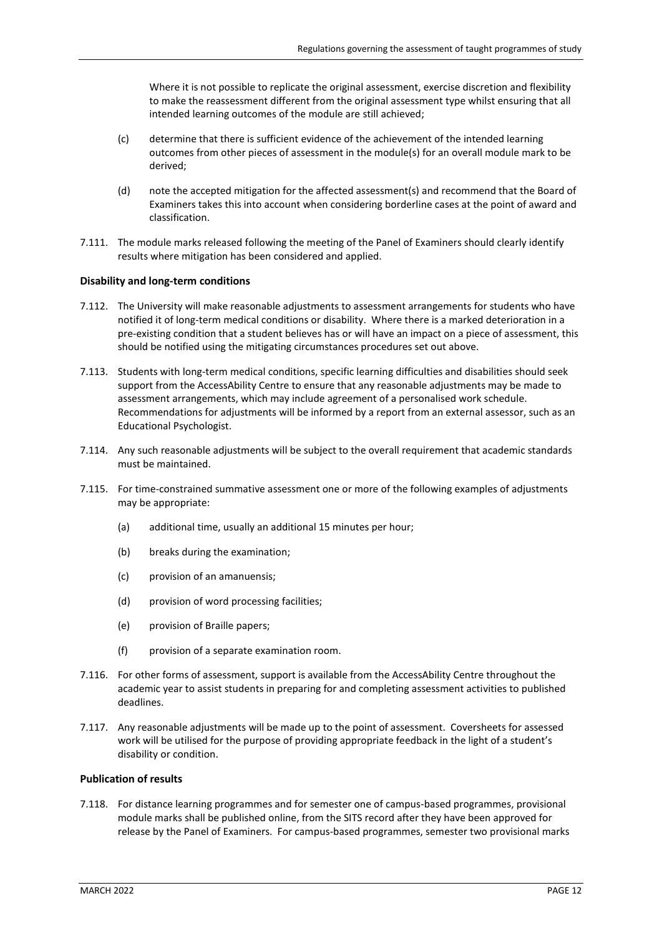Where it is not possible to replicate the original assessment, exercise discretion and flexibility to make the reassessment different from the original assessment type whilst ensuring that all intended learning outcomes of the module are still achieved;

- (c) determine that there is sufficient evidence of the achievement of the intended learning outcomes from other pieces of assessment in the module(s) for an overall module mark to be derived;
- (d) note the accepted mitigation for the affected assessment(s) and recommend that the Board of Examiners takes this into account when considering borderline cases at the point of award and classification.
- 7.111. The module marks released following the meeting of the Panel of Examiners should clearly identify results where mitigation has been considered and applied.

# **Disability and long-term conditions**

- 7.112. The University will make reasonable adjustments to assessment arrangements for students who have notified it of long-term medical conditions or disability. Where there is a marked deterioration in a pre-existing condition that a student believes has or will have an impact on a piece of assessment, this should be notified using the mitigating circumstances procedures set out above.
- 7.113. Students with long-term medical conditions, specific learning difficulties and disabilities should seek support from the AccessAbility Centre to ensure that any reasonable adjustments may be made to assessment arrangements, which may include agreement of a personalised work schedule. Recommendations for adjustments will be informed by a report from an external assessor, such as an Educational Psychologist.
- 7.114. Any such reasonable adjustments will be subject to the overall requirement that academic standards must be maintained.
- 7.115. For time-constrained summative assessment one or more of the following examples of adjustments may be appropriate:
	- (a) additional time, usually an additional 15 minutes per hour;
	- (b) breaks during the examination;
	- (c) provision of an amanuensis;
	- (d) provision of word processing facilities;
	- (e) provision of Braille papers;
	- (f) provision of a separate examination room.
- 7.116. For other forms of assessment, support is available from the AccessAbility Centre throughout the academic year to assist students in preparing for and completing assessment activities to published deadlines.
- 7.117. Any reasonable adjustments will be made up to the point of assessment. Coversheets for assessed work will be utilised for the purpose of providing appropriate feedback in the light of a student's disability or condition.

## **Publication of results**

7.118. For distance learning programmes and for semester one of campus-based programmes, provisional module marks shall be published online, from the SITS record after they have been approved for release by the Panel of Examiners. For campus-based programmes, semester two provisional marks